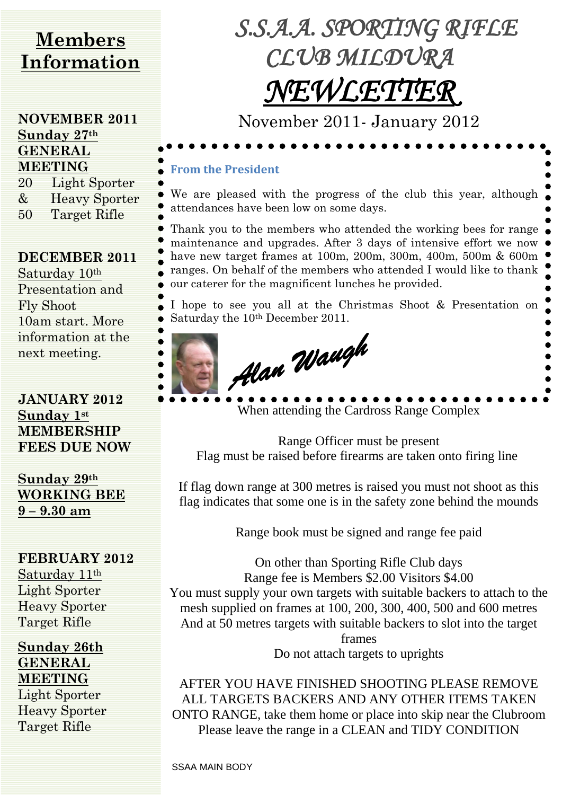# **Members Information**

#### **NOVEMBER 2011 Sunday 27th GENERAL MEETING**

20 Light Sporter & Heavy Sporter 50 Target Rifle

#### **DECEMBER 2011**

Saturday 10th Presentation and Fly Shoot 10am start. More information at the next meeting.

**JANUARY 2012 Sunday 1st MEMBERSHIP FEES DUE NOW**

**Sunday 29th WORKING BEE 9 – 9.30 am**

# **FEBRUARY 2012**

Saturday 11th Light Sporter Heavy Sporter Target Rifle

**Sunday 26th GENERAL MEETING** Light Sporter Heavy Sporter Target Rifle

*S.S.A.A. SPORTING RIFLE CLUB MILDURA NEWLETTER* 

November 2011- January 2012

### **From the President**

We are pleased with the progress of the club this year, although attendances have been low on some days.

Thank you to the members who attended the working bees for range maintenance and upgrades. After 3 days of intensive effort we now have new target frames at 100m, 200m, 300m, 400m, 500m & 600m ranges. On behalf of the members who attended I would like to thank our caterer for the magnificent lunches he provided.

I hope to see you all at the Christmas Shoot & Presentation on Saturday the 10th December 2011.



When attending the Cardross Range Complex

Range Officer must be present Flag must be raised before firearms are taken onto firing line

If flag down range at 300 metres is raised you must not shoot as this flag indicates that some one is in the safety zone behind the mounds

Range book must be signed and range fee paid

On other than Sporting Rifle Club days Range fee is Members \$2.00 Visitors \$4.00 You must supply your own targets with suitable backers to attach to the mesh supplied on frames at 100, 200, 300, 400, 500 and 600 metres And at 50 metres targets with suitable backers to slot into the target frames

Do not attach targets to uprights

AFTER YOU HAVE FINISHED SHOOTING PLEASE REMOVE ALL TARGETS BACKERS AND ANY OTHER ITEMS TAKEN ONTO RANGE, take them home or place into skip near the Clubroom Please leave the range in a CLEAN and TIDY CONDITION